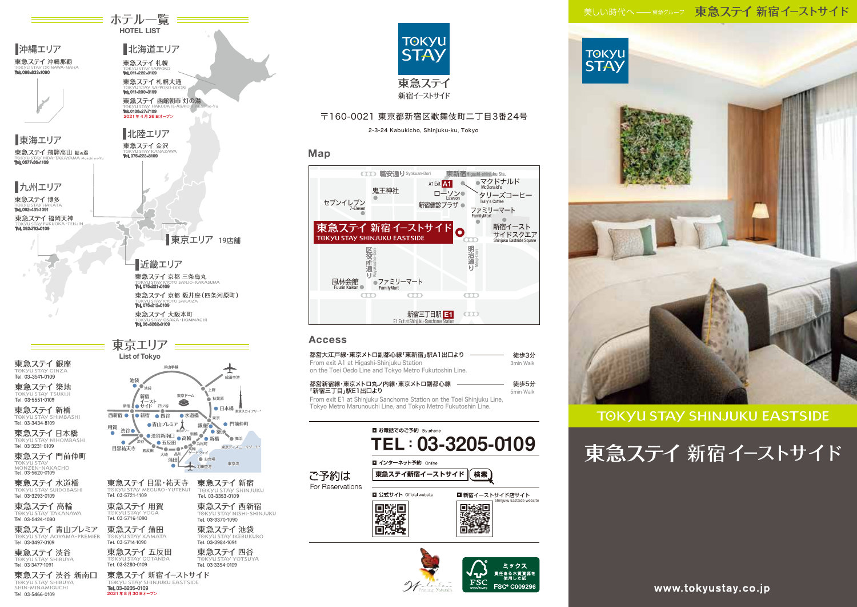## 美しい時代へ––東急グループ 東急ステイ 新宿イーストサイド



2021 年 8 月 30 日オープン

Tel. 03-5466-0109



## 〒160-0021 東京都新宿区歌舞伎町二丁目3番24号

2-3-24 Kabukicho, Shinjuku-ku, Tokyo

### Map



## **Access**

| From exit A1 at Higashi-Shinjuku Station | 都営大江戸線・東京メトロ副都心線「東新宿」駅A1出口より<br>on the Toei Oedo Line and Tokyo Metro Fukutoshin Line.                                                                             |                 | 徒歩3分<br>3min Walk         |
|------------------------------------------|--------------------------------------------------------------------------------------------------------------------------------------------------------------------|-----------------|---------------------------|
| 「新宿三丁目」駅E1出口より                           | 都営新宿線・東京メトロ丸ノ内線・東京メトロ副都心線<br>From exit E1 at Shinjuku Sanchome Station on the Toei Shinjuku Line,<br>Tokyo Metro Marunouchi Line, and Tokyo Metro Fukutoshin Line. |                 | 徒歩5分<br>5min Walk         |
| ご予約は<br>For Reservations                 | ■ お電話でのご予約 By phone<br><b>TEL: 03-3205-0109</b><br>■ インターネット予約 Online<br>東急ステイ新宿イーストサイド                                                                            |                 |                           |
|                                          | ■ 公式サイト Official website                                                                                                                                           | ■ 新宿イーストサイド店サイト | Shinjuku Eastside website |





## **TOKYU STAY SHINJUKU EASTSIDE**

東急ステイ 新宿イーストサイド

www.tokyustay.co.jp